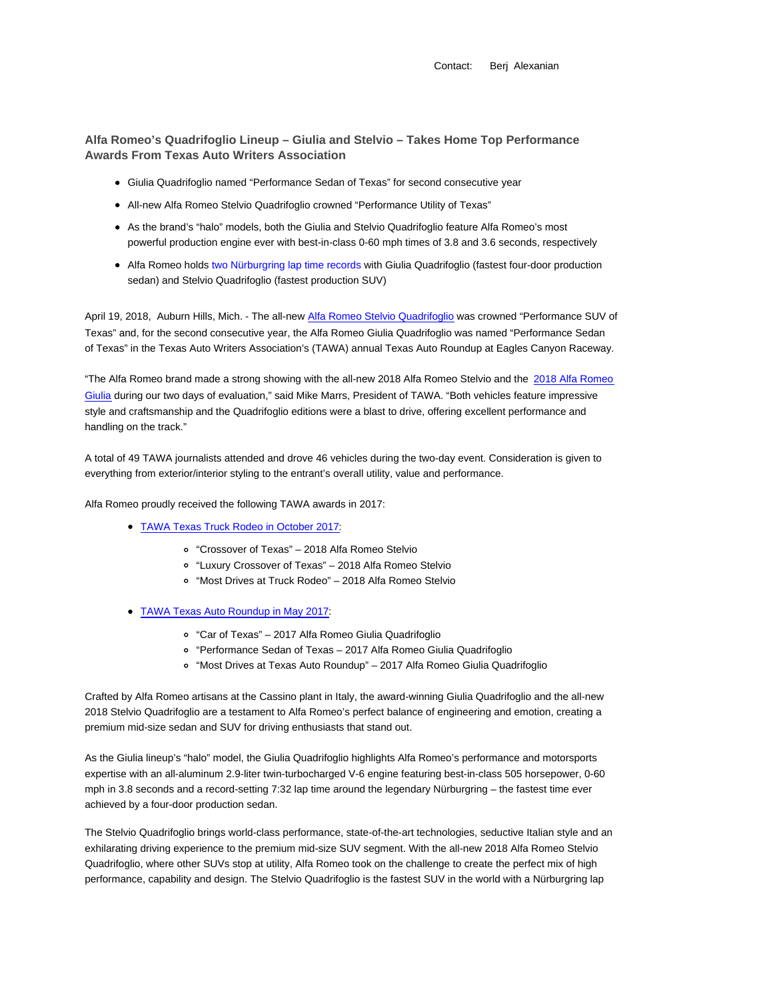Contact: Berj Alexanian

**Alfa Romeo's Quadrifoglio Lineup – Giulia and Stelvio – Takes Home Top Performance Awards From Texas Auto Writers Association**

- Giulia Quadrifoglio named "Performance Sedan of Texas" for second consecutive year
- All-new Alfa Romeo Stelvio Quadrifoglio crowned "Performance Utility of Texas"
- As the brand's "halo" models, both the Giulia and Stelvio Quadrifoglio feature Alfa Romeo's most powerful production engine ever with best-in-class 0-60 mph times of 3.8 and 3.6 seconds, respectively
- Alfa Romeo holds two Nürburgring lap time records with Giulia Quadrifoglio (fastest four-door production sedan) and Stelvio Quadrifoglio (fastest production SUV)

April 19, 2018, Auburn Hills, Mich. - The all-new Alfa Romeo Stelvio Quadrifoglio was crowned "Performance SUV of Texas" and, for the second consecutive year, the Alfa Romeo Giulia Quadrifoglio was named "Performance Sedan of Texas" in the Texas Auto Writers Association's (TAWA) annual Texas Auto Roundup at Eagles Canyon Raceway.

"The Alfa Romeo brand made a strong showing with the all-new 2018 Alfa Romeo Stelvio and the 2018 Alfa Romeo Giulia during our two days of evaluation," said Mike Marrs, President of TAWA. "Both vehicles feature impressive style and craftsmanship and the Quadrifoglio editions were a blast to drive, offering excellent performance and handling on the track."

A total of 49 TAWA journalists attended and drove 46 vehicles during the two-day event. Consideration is given to everything from exterior/interior styling to the entrant's overall utility, value and performance.

Alfa Romeo proudly received the following TAWA awards in 2017:

- TAWA Texas Truck Rodeo in October 2017:
	- "Crossover of Texas" 2018 Alfa Romeo Stelvio
	- "Luxury Crossover of Texas" 2018 Alfa Romeo Stelvio
	- "Most Drives at Truck Rodeo" 2018 Alfa Romeo Stelvio
- TAWA Texas Auto Roundup in May 2017:
	- "Car of Texas" 2017 Alfa Romeo Giulia Quadrifoglio
	- "Performance Sedan of Texas 2017 Alfa Romeo Giulia Quadrifoglio
	- "Most Drives at Texas Auto Roundup" 2017 Alfa Romeo Giulia Quadrifoglio

Crafted by Alfa Romeo artisans at the Cassino plant in Italy, the award-winning Giulia Quadrifoglio and the all-new 2018 Stelvio Quadrifoglio are a testament to Alfa Romeo's perfect balance of engineering and emotion, creating a premium mid-size sedan and SUV for driving enthusiasts that stand out.

As the Giulia lineup's "halo" model, the Giulia Quadrifoglio highlights Alfa Romeo's performance and motorsports expertise with an all-aluminum 2.9-liter twin-turbocharged V-6 engine featuring best-in-class 505 horsepower, 0-60 mph in 3.8 seconds and a record-setting 7:32 lap time around the legendary Nürburgring – the fastest time ever achieved by a four-door production sedan.

The Stelvio Quadrifoglio brings world-class performance, state-of-the-art technologies, seductive Italian style and an exhilarating driving experience to the premium mid-size SUV segment. With the all-new 2018 Alfa Romeo Stelvio Quadrifoglio, where other SUVs stop at utility, Alfa Romeo took on the challenge to create the perfect mix of high performance, capability and design. The Stelvio Quadrifoglio is the fastest SUV in the world with a Nürburgring lap